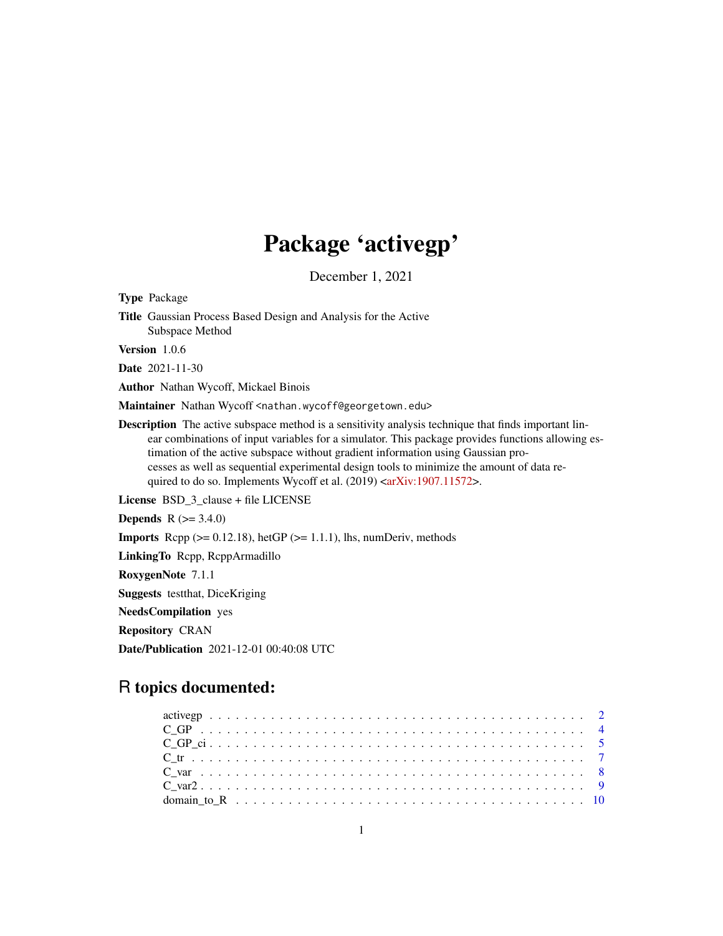# Package 'activegp'

December 1, 2021

<span id="page-0-0"></span>Type Package

Title Gaussian Process Based Design and Analysis for the Active Subspace Method

Version 1.0.6

Date 2021-11-30

Author Nathan Wycoff, Mickael Binois

Maintainer Nathan Wycoff <nathan.wycoff@georgetown.edu>

Description The active subspace method is a sensitivity analysis technique that finds important linear combinations of input variables for a simulator. This package provides functions allowing estimation of the active subspace without gradient information using Gaussian processes as well as sequential experimental design tools to minimize the amount of data re-quired to do so. Implements Wycoff et al. (2019) [<arXiv:1907.11572>](https://arxiv.org/abs/1907.11572).

License BSD\_3\_clause + file LICENSE

**Depends**  $R$  ( $> = 3.4.0$ )

**Imports** Rcpp ( $>= 0.12.18$ ), hetGP ( $>= 1.1.1$ ), lhs, numDeriv, methods

LinkingTo Rcpp, RcppArmadillo

RoxygenNote 7.1.1

Suggests testthat, DiceKriging

NeedsCompilation yes

Repository CRAN

Date/Publication 2021-12-01 00:40:08 UTC

# R topics documented: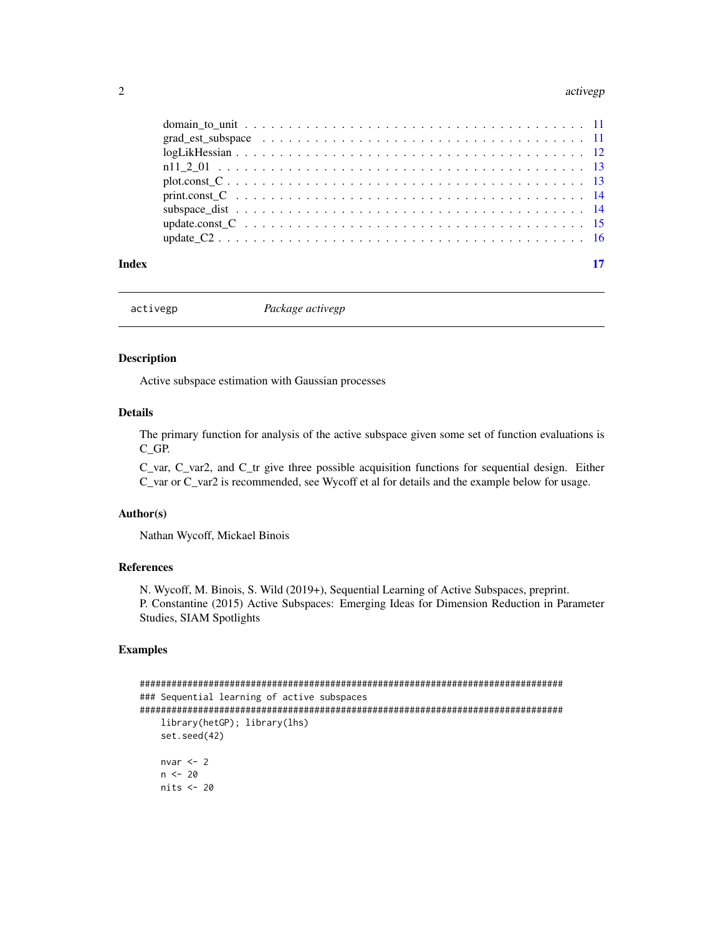#### <span id="page-1-0"></span>2 activegpone of the control of the control of the control of the control of the control of the control of the control of the control of the control of the control of the control of the control of the control of the contro

| Index |  |
|-------|--|

activegp *Package activegp*

# Description

Active subspace estimation with Gaussian processes

# Details

The primary function for analysis of the active subspace given some set of function evaluations is C\_GP.

C\_var, C\_var2, and C\_tr give three possible acquisition functions for sequential design. Either C\_var or C\_var2 is recommended, see Wycoff et al for details and the example below for usage.

#### Author(s)

Nathan Wycoff, Mickael Binois

#### References

N. Wycoff, M. Binois, S. Wild (2019+), Sequential Learning of Active Subspaces, preprint. P. Constantine (2015) Active Subspaces: Emerging Ideas for Dimension Reduction in Parameter Studies, SIAM Spotlights

```
################################################################################
### Sequential learning of active subspaces
################################################################################
   library(hetGP); library(lhs)
    set.seed(42)
   nvar <-2n < - 20nits <- 20
```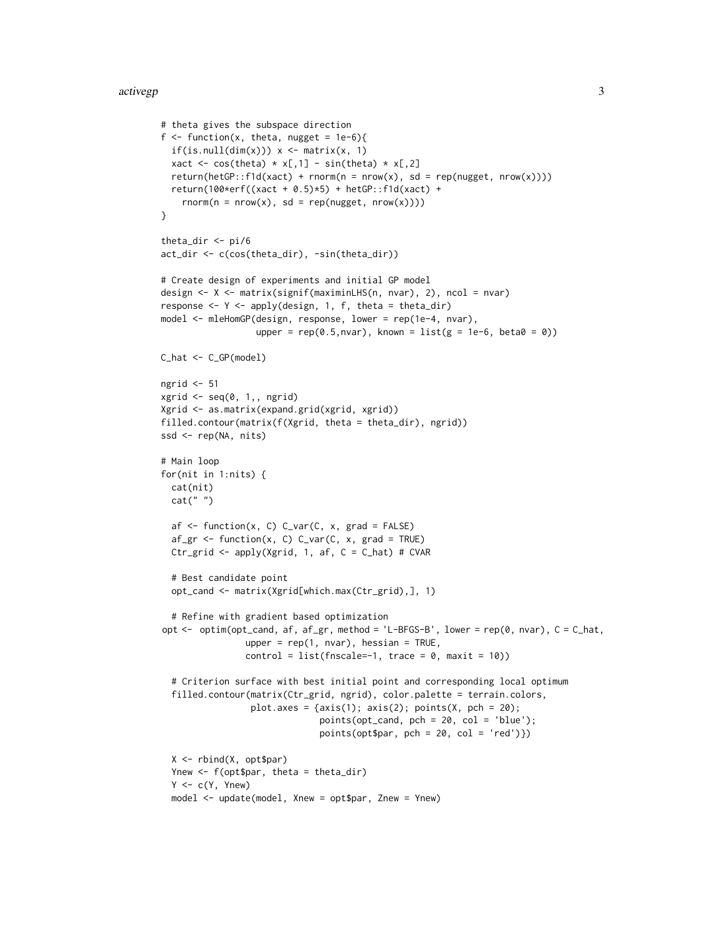#### activegp 3

```
# theta gives the subspace direction
f \leftarrow function(x, theta, nugget = 1e-6){
  if(is.null(dim(x))) x <- matrix(x, 1)
  xact \leq cos(theta) \star x[,1] - sin(theta) \star x[,2]
  return(hetGP::f1d(xact) + rnorm(n = nrow(x), sd = rep(nugget, nrow(x))))
  return(100*erf((xact + 0.5)*5) + hetGP::f1d(xact) +
    rnorm(n = nrow(x), sd = rep(nugget, nrow(x))))}
theta_dir <- pi/6
act_dir <- c(cos(theta_dir), -sin(theta_dir))
# Create design of experiments and initial GP model
design <- X <- matrix(signif(maximinLHS(n, nvar), 2), ncol = nvar)
response \leq Y \leq apply(design, 1, f, theta = theta_dir)
model <- mleHomGP(design, response, lower = rep(1e-4, nvar),
                  upper = rep(0.5, nvar), known = list(g = 1e-6, beta0 = 0))C_hat <- C_GP(model)
ngrid <- 51
xgrid \leq seq(0, 1,, ngrid)
Xgrid <- as.matrix(expand.grid(xgrid, xgrid))
filled.contour(matrix(f(Xgrid, theta = theta_dir), ngrid))
ssd <- rep(NA, nits)
# Main loop
for(nit in 1:nits) {
  cat(nit)
  cat(" ")
  af \le function(x, C) C_var(C, x, grad = FALSE)
  af\_gr \leftarrow function(x, C) C\_var(C, x, grad = TRUE)Ctr_grid <- apply(Xgrid, 1, af, C = C_{hat}) # CVAR
  # Best candidate point
  opt_cand <- matrix(Xgrid[which.max(Ctr_grid),], 1)
  # Refine with gradient based optimization
opt \leq optim(opt_cand, af, af_gr, method = 'L-BFGS-B', lower = rep(0, nvar), C = C_hat,
                upper = rep(1, nvar), hessian = TRUE,
                control = list(fnscale=-1, trace = 0, maxit = 10)# Criterion surface with best initial point and corresponding local optimum
  filled.contour(matrix(Ctr_grid, ngrid), color.palette = terrain.colors,
                 plot.axes = \{axis(1); axis(2); points(X, pch = 20);points(opt_cand, pch = 20, col = 'blue');
                               points(opt$par, pch = 20, col = 'red')})X <- rbind(X, opt$par)
  Ynew <- f(opt$par, theta = theta_dir)
  Y \leftarrow c(Y, Ynew)model <- update(model, Xnew = opt$par, Znew = Ynew)
```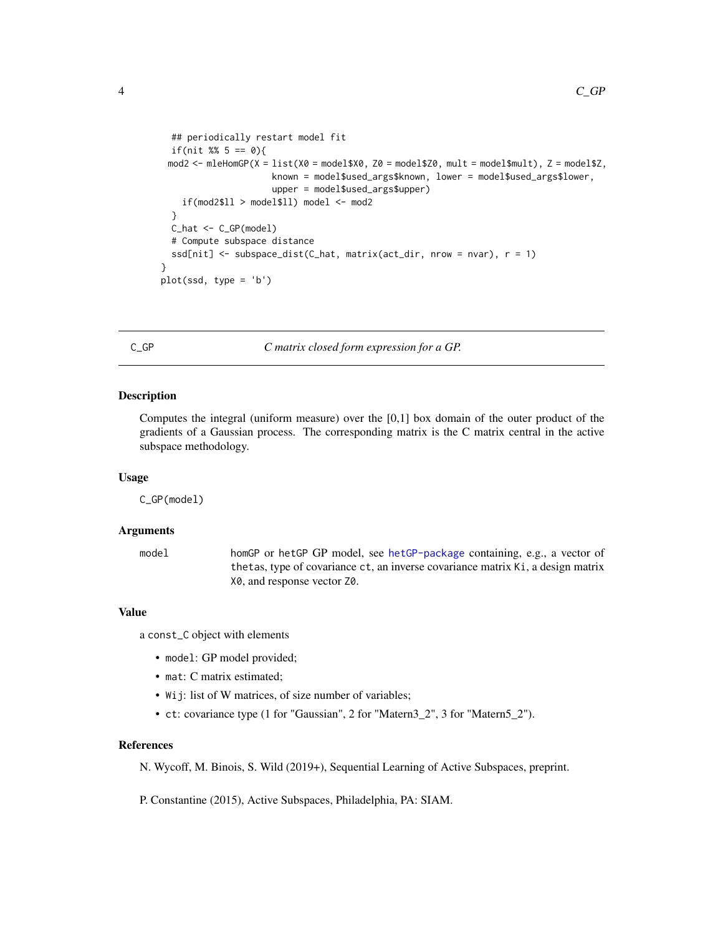```
## periodically restart model fit
  if(nit %% 5 == 0){
 mod2 <- mleHomGP(X = list(X0 = model $X0, Z0 = model $Z0, mult = model $mult), Z = model $Z,known = model$used_args$known, lower = model$used_args$lower,
                      upper = model$used_args$upper)
    if(mod2$11 > model$11) model <math>\leftarrow</math> mod2}
  C_hat <- C_GP(model)
  # Compute subspace distance
  ssd[nit] <- subspace_dist(C_hat, matrix(act_dir, nrow = nvar), r = 1)
}
plot(ssd, type = 'b')
```
<span id="page-3-1"></span>C\_GP *C matrix closed form expression for a GP.*

#### Description

Computes the integral (uniform measure) over the [0,1] box domain of the outer product of the gradients of a Gaussian process. The corresponding matrix is the C matrix central in the active subspace methodology.

#### Usage

C\_GP(model)

### Arguments

model homGP or hetGP GP model, see [hetGP-package](#page-0-0) containing, e.g., a vector of thetas, type of covariance ct, an inverse covariance matrix Ki, a design matrix X0, and response vector Z0.

# Value

a const\_C object with elements

- model: GP model provided;
- mat: C matrix estimated;
- Wij: list of W matrices, of size number of variables;
- ct: covariance type (1 for "Gaussian", 2 for "Matern3\_2", 3 for "Matern5\_2").

#### References

N. Wycoff, M. Binois, S. Wild (2019+), Sequential Learning of Active Subspaces, preprint.

P. Constantine (2015), Active Subspaces, Philadelphia, PA: SIAM.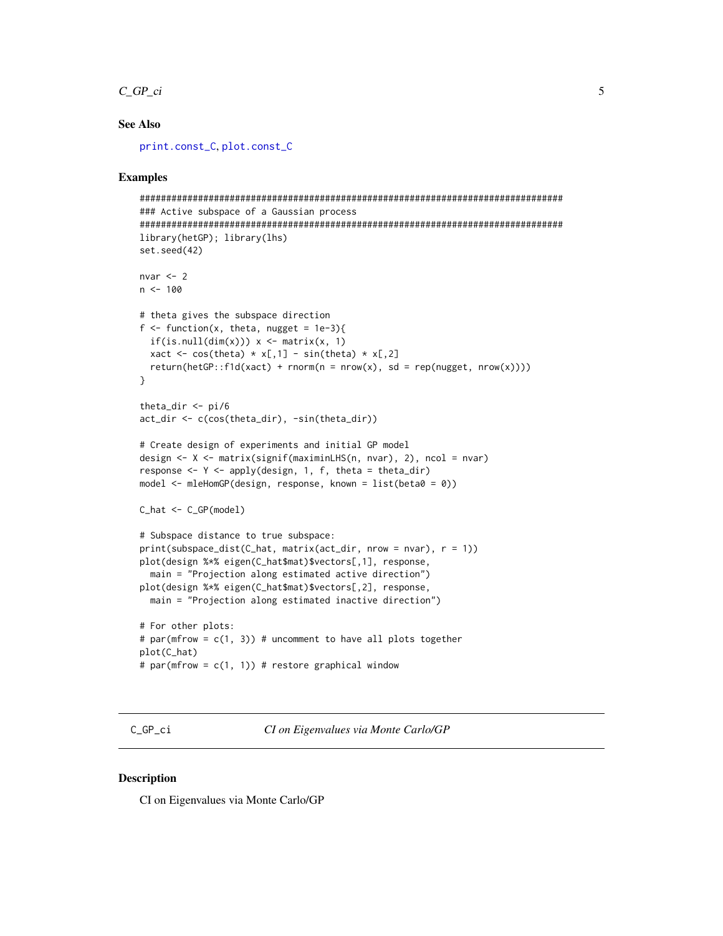# <span id="page-4-0"></span> $C_GP_c$ ci

# **See Also**

print.const\_C.plot.const\_C

#### **Examples**

```
### Active subspace of a Gaussian process
library(hetGP); library(lhs)
set.seed(42)
nvar < -2n < -100# theta gives the subspace direction
f \leftarrow function(x, theta, nugget = 1e-3)if(is.null(dim(x))) x \leftarrow matrix(x, 1)xact <- cos(theta) * x[,1] - sin(theta) * x[,2]
 return(hetGP::f1d(xact) + rnorm(n = nrow(x), sd = rep(nugget, nrow(x))))
}
theta_dir \le- pi/6
act_dir <- c(cos(theta_dir), -sin(theta_dir))
# Create design of experiments and initial GP model
design \leq X \leq matrix(signif(maximinLHS(n, nvar), 2), ncol = nvar)
response \leq Y \leq apply(design, 1, f, theta = theta_dir)
model <- mleHomGP(design, response, known = list(beta0 = 0))C_hat < C_GP(model)# Subspace distance to true subspace:
print(subspace\_dist(C_hat, matrix(act\_dir, nrow = nvar), r = 1))plot(design %*% eigen(C_hat$mat)$vectors[,1], response,
 main = "Projection along estimated active direction")
plot(design %*% eigen(C_hat$mat)$vectors[,2], response,
 main = "Projection along estimated inactive direction")
# For other plots:
# par(mfrow = c(1, 3)) # uncomment to have all plots together
plot(C_hat)
# par(mfrow = c(1, 1)) # restore graphical window
```

```
C GP ci
```
CI on Eigenvalues via Monte Carlo/GP

#### **Description**

CI on Eigenvalues via Monte Carlo/GP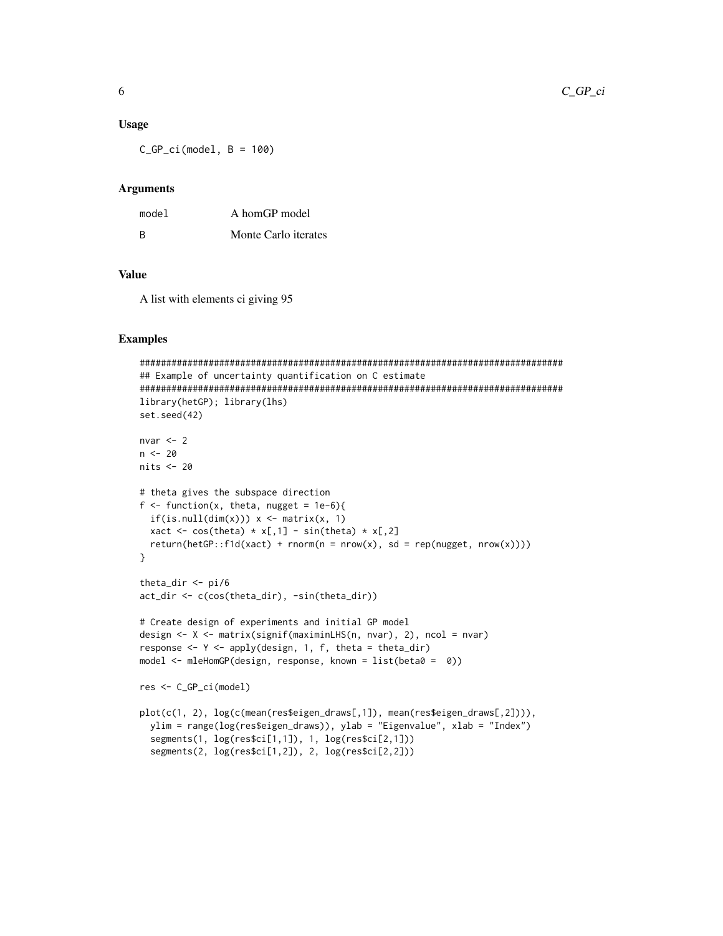#### **Usage**

 $C_GP_{ci} \text{ (model, } B = 100)$ 

#### **Arguments**

| model | A homGP model        |
|-------|----------------------|
| -B    | Monte Carlo iterates |

#### **Value**

A list with elements ci giving 95

```
## Example of uncertainty quantification on C estimate
library(hetGP); library(lhs)
set.seed(42)
nvar < -2n < -20nits < -20# theta gives the subspace direction
f \leftarrow function(x, theta, nugget = 1e-6){
 if(is.null(dim(x))) x \leftarrow matrix(x, 1)xact <- cos(theta) * x[,1] - sin(theta) * x[,2]return(hetGP::f1d(xact) + rnorm(n = nrow(x), sd = rep(nugget, nrow(x))))}
theta_dir \le- pi/6
act_dir <- c(cos(theta_dir), -sin(theta_dir))
# Create design of experiments and initial GP model
design <- X <- matrix(signif(maximinLHS(n, nvar), 2), ncol = nvar)
response <- Y <- apply(design, 1, f, theta = theta_dir)
model <- mleHomGP(design, response, known = list(beta@ = 0))
res <- C_GP_ci(model)
plot(c(1, 2), log(c(mean(res$eigen_draws[,1]), mean(res$eigen_draws[,2]))),
 ylim = range(log(res$eigen-draws)), ylab = "Eigenvalue", xlab = "Index")segments(1, log(resSci[1,1]), 1, log(resSci[2,1]))segments(2, log(res$ci[1,2]), 2, log(res$ci[2,2]))
```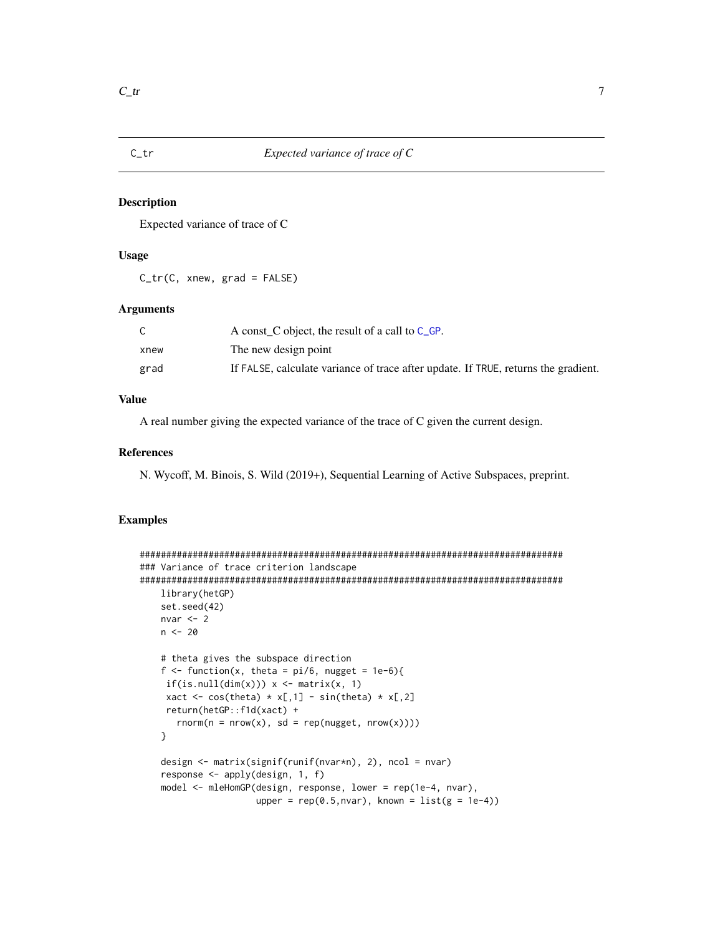<span id="page-6-0"></span> $C_{r}$ 

#### Description

Expected variance of trace of C

## **Usage**

 $C_tr(C, xnew, grad = FALSE)$ 

#### **Arguments**

|      | A const C object, the result of a call to $C_G$ -GP.                               |
|------|------------------------------------------------------------------------------------|
| xnew | The new design point                                                               |
| grad | If FALSE, calculate variance of trace after update. If TRUE, returns the gradient. |

#### **Value**

A real number giving the expected variance of the trace of C given the current design.

#### **References**

N. Wycoff, M. Binois, S. Wild (2019+), Sequential Learning of Active Subspaces, preprint.

```
### Variance of trace criterion landscape
library(hetGP)
   set.seed(42)
  nvar < -2n < -20# theta gives the subspace direction
   f \leftarrow function(x, theta = pi/6, nugget = 1e-6){
   if(is.null(dim(x))) x \leftarrow matrix(x, 1)xact <- cos(theta) * x[,1] - sin(theta) * x[,2]
   return(hetGP::f1d(xact) +
     rnorm(n = nrow(x), sd = rep(nugget, nrow(x))))
   \mathcal{Y}design \leq matrix(signif(runif(nvar*n), 2), ncol = nvar)
   response <- apply(design, 1, f)
   model <- mleHomGP(design, response, lower = rep(1e-4, nvar),
                 upper = rep(0.5, nvar), known = list(g = 1e-4))
```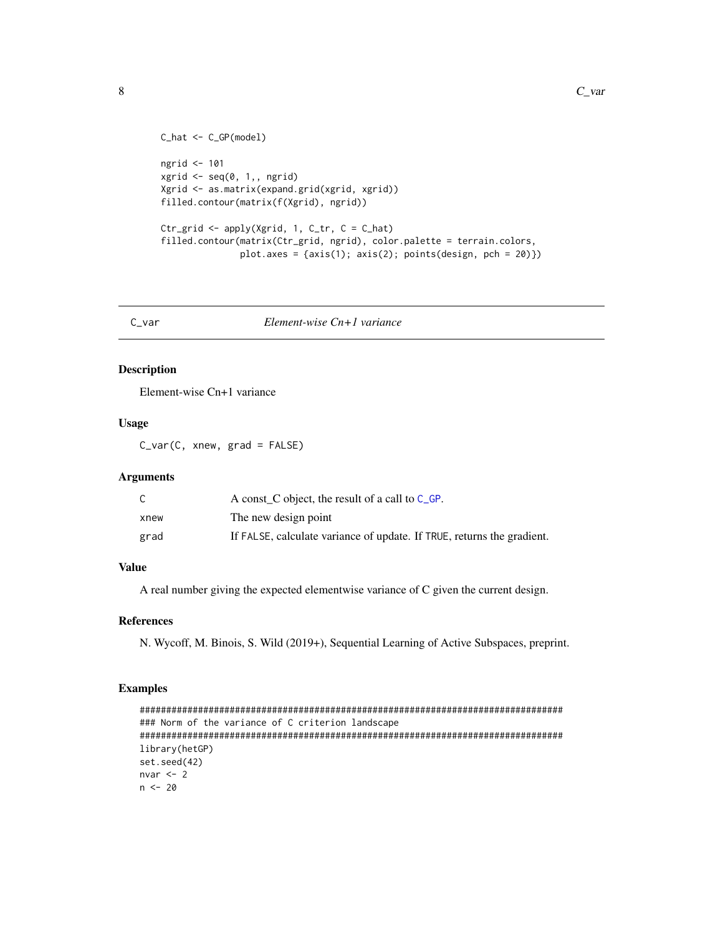```
C_hat < C_GP(\text{model})ngrid \leq -101xgrid <- seq(0, 1, 1, 1)Xgrid <- as.matrix(expand.grid(xgrid, xgrid))
filled.contour(matrix(f(Xgrid), ngrid))
ctr\_grid \leftarrow apply(Xgrid, 1, C_tr, C = C_hat)filled.contour(matrix(Ctr_grid, ngrid), color.palette = terrain.colors,
               plot.axes = \{axis(1); axis(2); points(design, pch = 20)\})
```
 $C_Var$ 

Element-wise  $C_{n+1}$  variance

# **Description**

Element-wise Cn+1 variance

# **Usage**

 $C_var(C, xnew, grad = FALSE)$ 

#### **Arguments**

|      | A const_C object, the result of a call to C_GP.                       |
|------|-----------------------------------------------------------------------|
| xnew | The new design point                                                  |
| grad | If FALSE, calculate variance of update. If TRUE, returns the gradient |

#### **Value**

A real number giving the expected elementwise variance of C given the current design.

#### **References**

N. Wycoff, M. Binois, S. Wild (2019+), Sequential Learning of Active Subspaces, preprint.

```
### Norm of the variance of C criterion landscape
library(hetGP)
set.seed(42)
nvar < -2n < -20
```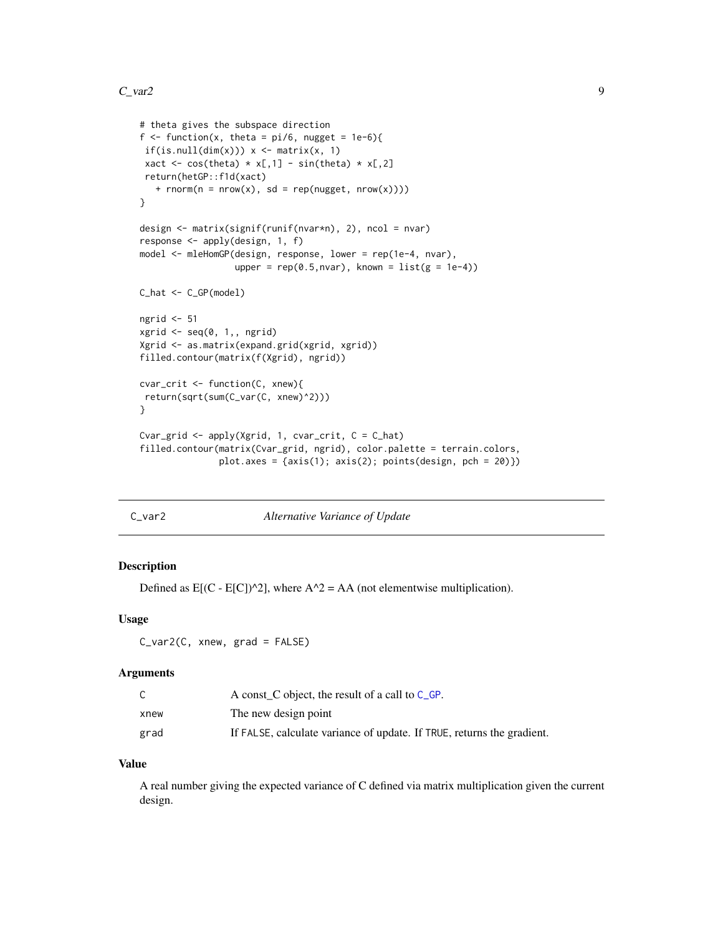```
# theta gives the subspace direction
f \leftarrow function(x, theta = pi/6, nugget = 1e-6)if(is.null(dim(x))) x <- matrix(x, 1)xact <- cos(theta) * x[,1] - sin(theta) * x[,2]return(hetGP::f1d(xact)
   + rnorm(n = nrow(x), sd = rep(nugget, nrow(x))))}
design <- matrix(signif(runif(nvar*n), 2), ncol = nvar)
response <- apply(design, 1, f)
model <- mleHomGP(design, response, lower = rep(1e-4, nvar),
                  upper = rep(0.5, nvar), known = list(g = 1e-4))C_hat <- C_GP(model)
ngrid <- 51
xgrid \leftarrow seq(0, 1, , ngrid)Xgrid <- as.matrix(expand.grid(xgrid, xgrid))
filled.contour(matrix(f(Xgrid), ngrid))
cvar_crit <- function(C, xnew){
return(sqrt(sum(C_var(C, xnew)^2)))
}
Cvar_grid <- apply(Xgrid, 1, cvar_crit, C = C_hat)
filled.contour(matrix(Cvar_grid, ngrid), color.palette = terrain.colors,
               plot.axes = {axis(1); axis(2); points(design, pch = 20)})
```

|  | - 1 |  |
|--|-----|--|
|  |     |  |

C\_var2 *Alternative Variance of Update*

#### Description

Defined as  $E[(C - E[C])^2]$ , where  $A^2 = AA$  (not elementwise multiplication).

#### Usage

```
C_var2(C, xnew, grad = FALSE)
```
#### Arguments

|      | A const_C object, the result of a call to $C_GP$ .                     |
|------|------------------------------------------------------------------------|
| xnew | The new design point                                                   |
| grad | If FALSE, calculate variance of update. If TRUE, returns the gradient. |

#### Value

A real number giving the expected variance of C defined via matrix multiplication given the current design.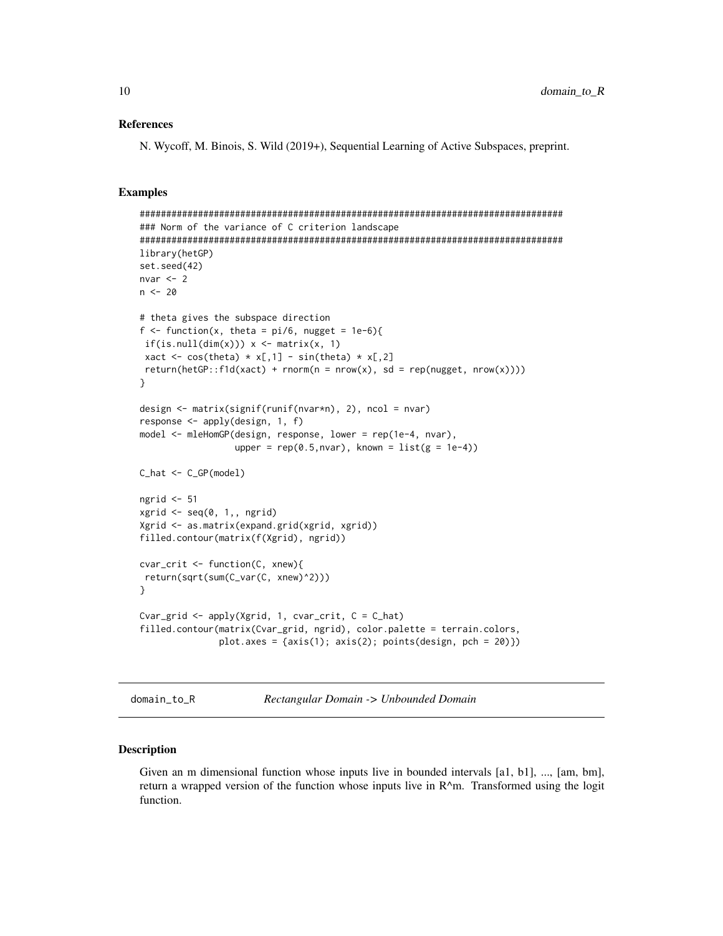#### <span id="page-9-0"></span>**References**

N. Wycoff, M. Binois, S. Wild (2019+), Sequential Learning of Active Subspaces, preprint.

#### **Examples**

```
### Norm of the variance of C criterion landscape
library(hetGP)
set.seed(42)
nvar < 2n < -20# theta gives the subspace direction
f \leftarrow function(x, theta = pi/6, nugget = 1e-6){
if(is.null(dim(x))) x <- matrix(x, 1)
xact <- cos(theta) * x[,1] - sin(theta) * x[,2]return(hetGP::f1d(xact) + rnorm(n = nrow(x), sd = rep(nugget, nrow(x))))}
design <- matrix(signif(runif(nvar*n), 2), ncol = nvar)
response \leq apply(design, 1, f)
model <- mleHomGP(design, response, lower = rep(1e-4, nvar),
               upper = rep(0.5, nvar), known = list(g = 1e-4))C_hat \leftarrow C_GP(model)ngrid <-51xgrid \leftarrow seq(0, 1, , ngrid)Xgrid <- as.matrix(expand.grid(xgrid, xgrid))
filled.contour(matrix(f(Xgrid), ngrid))
cvar_crit <- function(C, xnew){
return(sqrt(sum(C_var(C, xnew)^2)))
\mathcal{L}Cvar_grid <- apply(Xgrid, 1, cvar_crit, C = C_hhat)
filled.contour(matrix(Cvar_grid, ngrid), color.palette = terrain.colors,
             plot.axes = \{axis(1); axis(2); points(design, pch = 20)\})
```
domain\_to\_R

Rectangular Domain -> Unbounded Domain

#### **Description**

Given an m dimensional function whose inputs live in bounded intervals [a1, b1], ..., [am, bm], return a wrapped version of the function whose inputs live in  $R^{\wedge}m$ . Transformed using the logit function.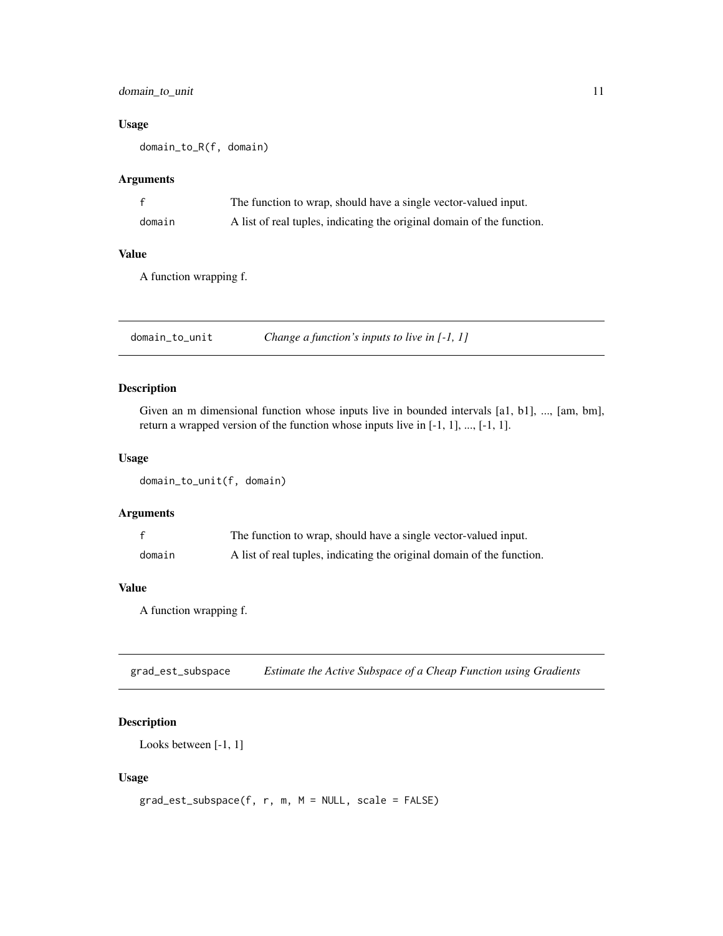# <span id="page-10-0"></span>domain\_to\_unit 11

# Usage

domain\_to\_R(f, domain)

#### Arguments

|        | The function to wrap, should have a single vector-valued input.        |
|--------|------------------------------------------------------------------------|
| domain | A list of real tuples, indicating the original domain of the function. |

# Value

A function wrapping f.

domain\_to\_unit *Change a function's inputs to live in [-1, 1]*

# Description

Given an m dimensional function whose inputs live in bounded intervals [a1, b1], ..., [am, bm], return a wrapped version of the function whose inputs live in [-1, 1], ..., [-1, 1].

#### Usage

domain\_to\_unit(f, domain)

# Arguments

|        | The function to wrap, should have a single vector-valued input.        |
|--------|------------------------------------------------------------------------|
| domain | A list of real tuples, indicating the original domain of the function. |

# Value

A function wrapping f.

grad\_est\_subspace *Estimate the Active Subspace of a Cheap Function using Gradients*

# Description

Looks between [-1, 1]

#### Usage

```
grad_est_subspace(f, r, m, M = NULL, scale = FALSE)
```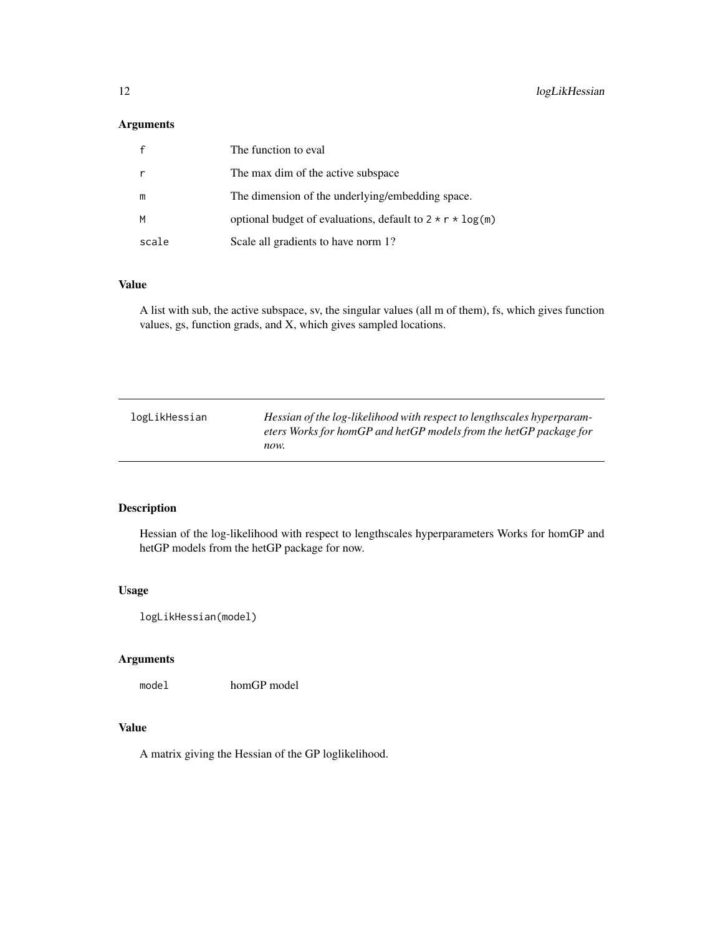# <span id="page-11-0"></span>Arguments

|       | The function to eval                                                   |
|-------|------------------------------------------------------------------------|
|       | The max dim of the active subspace                                     |
| m     | The dimension of the underlying/embedding space.                       |
| M     | optional budget of evaluations, default to $2 \times r \times \log(m)$ |
| scale | Scale all gradients to have norm 1?                                    |

### Value

A list with sub, the active subspace, sv, the singular values (all m of them), fs, which gives function values, gs, function grads, and X, which gives sampled locations.

| logLikHessian | Hessian of the log-likelihood with respect to lengthscales hyperparam- |
|---------------|------------------------------------------------------------------------|
|               | eters Works for homGP and hetGP models from the hetGP package for      |
|               | now.                                                                   |
|               |                                                                        |

# Description

Hessian of the log-likelihood with respect to lengthscales hyperparameters Works for homGP and hetGP models from the hetGP package for now.

# Usage

```
logLikHessian(model)
```
#### Arguments

model homGP model

# Value

A matrix giving the Hessian of the GP loglikelihood.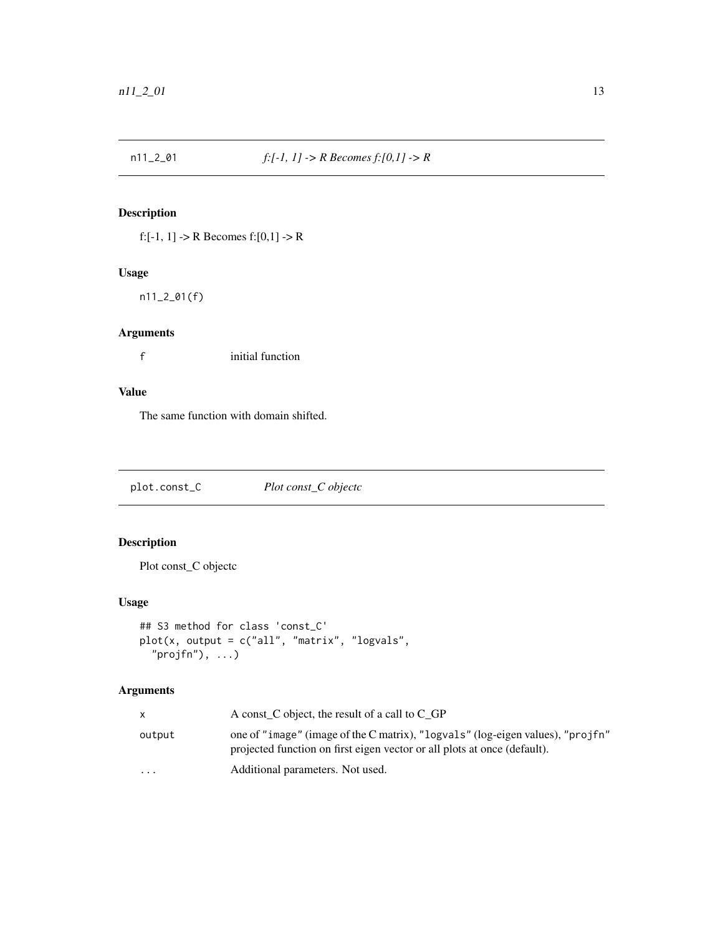<span id="page-12-0"></span>

# Description

f:[-1, 1] -> R Becomes f:[0,1] -> R

# Usage

n11\_2\_01(f)

#### Arguments

f initial function

# Value

The same function with domain shifted.

<span id="page-12-1"></span>plot.const\_C *Plot const\_C objectc*

# Description

Plot const\_C objectc

# Usage

```
## S3 method for class 'const_C'
plot(x, output = c("all", "matrix", "logvals",
  "projfn"), \ldots)
```
# Arguments

|                         | A const_C object, the result of a call to $C_G$ GP                                                                                                         |
|-------------------------|------------------------------------------------------------------------------------------------------------------------------------------------------------|
| output                  | one of "image" (image of the C matrix), "logvals" (log-eigen values), "projfn"<br>projected function on first eigen vector or all plots at once (default). |
| $\cdot$ $\cdot$ $\cdot$ | Additional parameters. Not used.                                                                                                                           |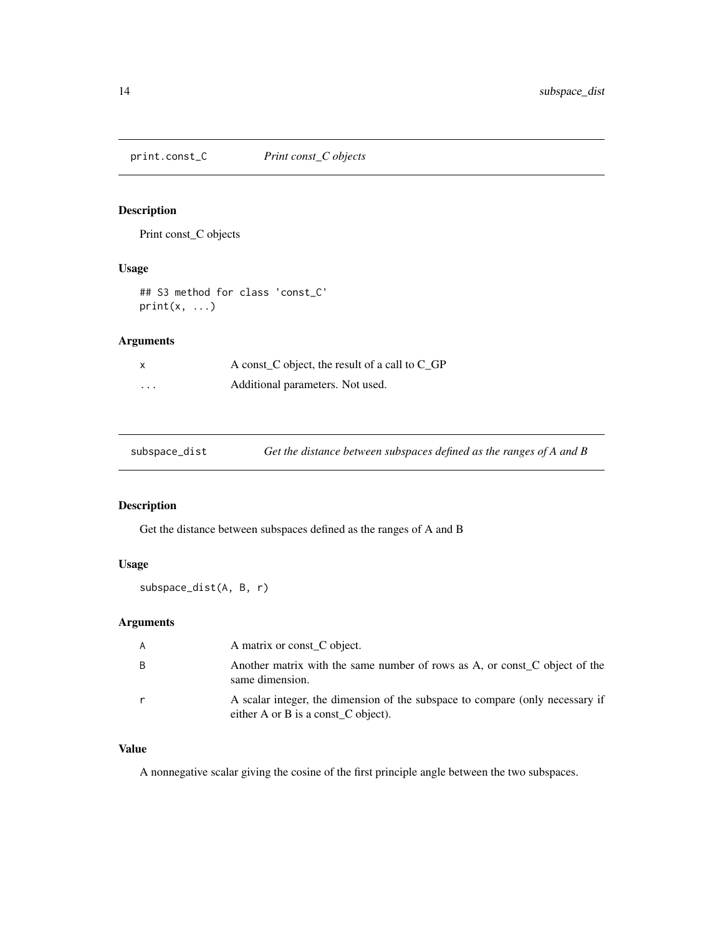<span id="page-13-1"></span><span id="page-13-0"></span>print.const\_C *Print const\_C objects*

# Description

Print const\_C objects

# Usage

## S3 method for class 'const\_C'  $print(x, \ldots)$ 

# Arguments

| X | A const_C object, the result of a call to C_GP |
|---|------------------------------------------------|
| . | Additional parameters. Not used.               |

| subspace_dist |  |  | Get the distance between subspaces defined as the ranges of A and B |
|---------------|--|--|---------------------------------------------------------------------|
|---------------|--|--|---------------------------------------------------------------------|

# Description

Get the distance between subspaces defined as the ranges of A and B

# Usage

```
subspace_dist(A, B, r)
```
# Arguments

| A | A matrix or const <sub>L</sub> C object.                                                                               |
|---|------------------------------------------------------------------------------------------------------------------------|
| B | Another matrix with the same number of rows as A, or const_C object of the<br>same dimension.                          |
|   | A scalar integer, the dimension of the subspace to compare (only necessary if<br>either A or B is a const $C$ object). |

# Value

A nonnegative scalar giving the cosine of the first principle angle between the two subspaces.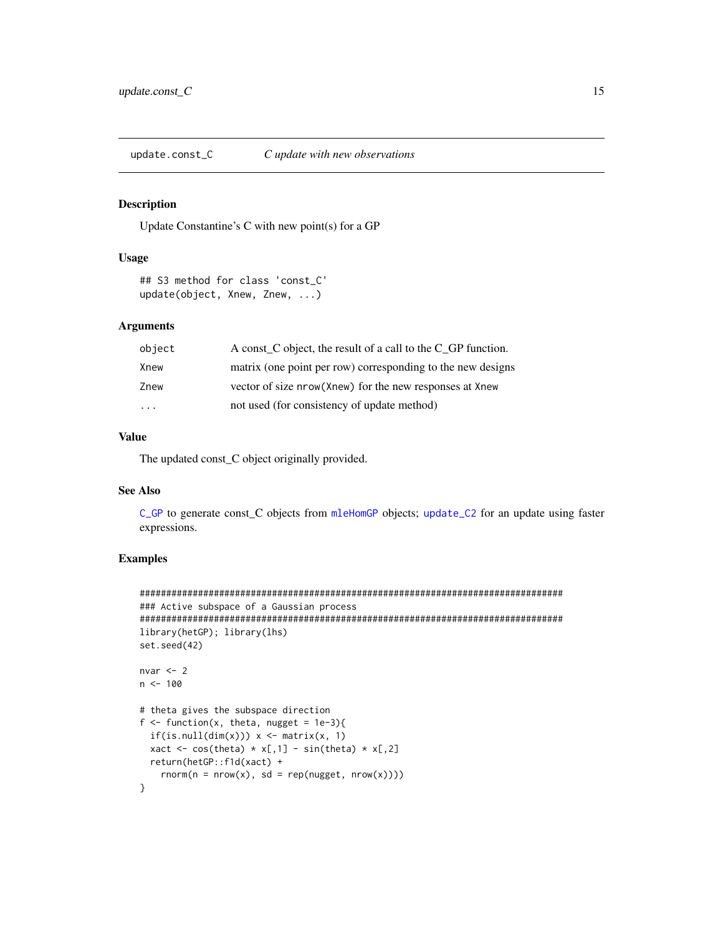<span id="page-14-0"></span>update.const\_C *C update with new observations*

#### Description

Update Constantine's C with new point(s) for a GP

#### Usage

```
## S3 method for class 'const_C'
update(object, Xnew, Znew, ...)
```
# Arguments

| object                  | A const C object, the result of a call to the C GP function. |
|-------------------------|--------------------------------------------------------------|
| Xnew                    | matrix (one point per row) corresponding to the new designs  |
| Znew                    | vector of size nrow (Xnew) for the new responses at Xnew     |
| $\cdot$ $\cdot$ $\cdot$ | not used (for consistency of update method)                  |

# Value

The updated const\_C object originally provided.

#### See Also

[C\\_GP](#page-3-1) to generate const\_C objects from [mleHomGP](#page-0-0) objects; [update\\_C2](#page-15-1) for an update using faster expressions.

```
################################################################################
### Active subspace of a Gaussian process
################################################################################
library(hetGP); library(lhs)
set.seed(42)
nvar <-2n < - 100# theta gives the subspace direction
f \leftarrow function(x, theta, nugget = 1e-3)if(is.null(dim(x))) x \leftarrow matrix(x, 1)xact \leq cos(theta) \star x[,1] - sin(theta) \star x[,2]
  return(hetGP::f1d(xact) +
    rnorm(n = nrow(x), sd = rep(nugget, nrow(x))))}
```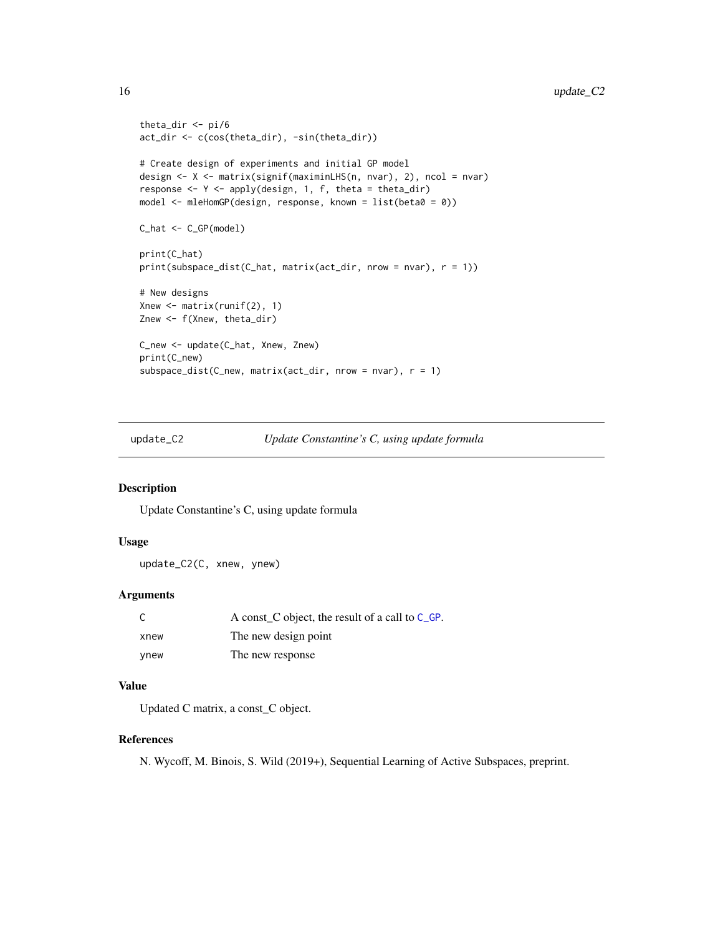```
theta_dir <- pi/6
act_dir <- c(cos(theta_dir), -sin(theta_dir))
# Create design of experiments and initial GP model
design <- X <- matrix(signif(maximinLHS(n, nvar), 2), ncol = nvar)
response <- Y <- apply(design, 1, f, theta = theta_dir)
model <- mleHomGP(design, response, known = list(beta0 = 0))
C_hat <- C_GP(model)
print(C_hat)
print(subspace_dist(C_hat, matrix(act_dir, nrow = nvar), r = 1))
# New designs
Xnew \leq matrix(runif(2), 1)
Znew <- f(Xnew, theta_dir)
C_new <- update(C_hat, Xnew, Znew)
print(C_new)
subspace_dist(C_new, matrix(act_dir, nrow = nvar), r = 1)
```
<span id="page-15-1"></span>update\_C2 *Update Constantine's C, using update formula*

### Description

Update Constantine's C, using update formula

#### Usage

update\_C2(C, xnew, ynew)

#### Arguments

|      | A const C object, the result of a call to $C$ -GP. |
|------|----------------------------------------------------|
| xnew | The new design point                               |
| vnew | The new response                                   |

#### Value

Updated C matrix, a const\_C object.

## References

N. Wycoff, M. Binois, S. Wild (2019+), Sequential Learning of Active Subspaces, preprint.

<span id="page-15-0"></span>